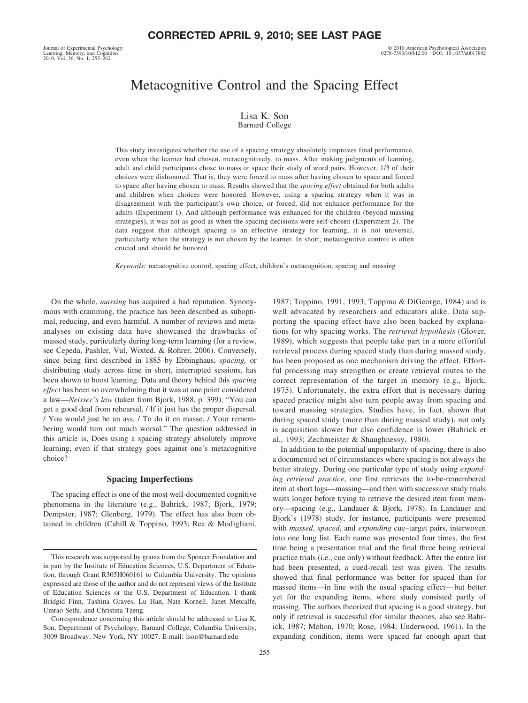# Metacognitive Control and the Spacing Effect

# Lisa K. Son Barnard College

This study investigates whether the use of a spacing strategy absolutely improves final performance, even when the learner had chosen, metacognitively, to mass. After making judgments of learning, adult and child participants chose to mass or space their study of word pairs. However, 1/3 of their choices were dishonored. That is, they were forced to mass after having chosen to space and forced to space after having chosen to mass. Results showed that the *spacing effect* obtained for both adults and children when choices were honored. However, using a spacing strategy when it was in disagreement with the participant's own choice, or forced, did not enhance performance for the adults (Experiment 1). And although performance was enhanced for the children (beyond massing strategies), it was not as good as when the spacing decisions were self-chosen (Experiment 2). The data suggest that although spacing is an effective strategy for learning, it is not universal, particularly when the strategy is not chosen by the learner. In short, metacognitive control is often crucial and should be honored.

*Keywords:* metacognitive control, spacing effect, children's metacognition, spacing and massing

On the whole, *massing* has acquired a bad reputation. Synonymous with cramming, the practice has been described as suboptimal, reducing, and even harmful. A number of reviews and metaanalyses on existing data have showcased the drawbacks of massed study, particularly during long-term learning (for a review, see Cepeda, Pashler, Vul, Wixted, & Rohrer, 2006). Conversely, since being first described in 1885 by Ebbinghaus, *spacing,* or distributing study across time in short, interrupted sessions, has been shown to boost learning. Data and theory behind this *spacing effect* has been so overwhelming that it was at one point considered a law—*Neisser's law* (taken from Bjork, 1988, p. 399): "You can get a good deal from rehearsal, / If it just has the proper dispersal. / You would just be an ass, / To do it en masse, / Your remembering would turn out much worsal*.*" The question addressed in this article is, Does using a spacing strategy absolutely improve learning, even if that strategy goes against one's metacognitive choice?

# **Spacing Imperfections**

The spacing effect is one of the most well-documented cognitive phenomena in the literature (e.g., Bahrick, 1987; Bjork, 1979; Dempster, 1987; Glenberg, 1979). The effect has also been obtained in children (Cahill & Toppino, 1993; Rea & Modigliani, 1987; Toppino, 1991, 1993; Toppino & DiGeorge, 1984) and is well advocated by researchers and educators alike. Data supporting the spacing effect have also been backed by explanations for why spacing works. The *retrieval hypothesis* (Glover, 1989), which suggests that people take part in a more effortful retrieval process during spaced study than during massed study, has been proposed as one mechanism driving the effect. Effortful processing may strengthen or create retrieval routes to the correct representation of the target in memory (e.g., Bjork, 1975). Unfortunately, the extra effort that is necessary during spaced practice might also turn people away from spacing and toward massing strategies. Studies have, in fact, shown that during spaced study (more than during massed study), not only is acquisition slower but also confidence is lower (Bahrick et al., 1993; Zechmeister & Shaughnessy, 1980).

In addition to the potential unpopularity of spacing, there is also a documented set of circumstances where spacing is not always the better strategy. During one particular type of study using *expanding retrieval practice*, one first retrieves the to-be-remembered item at short lags—massing—and then with successive study trials waits longer before trying to retrieve the desired item from memory—spacing (e.g., Landauer & Bjork, 1978). In Landauer and Bjork's (1978) study, for instance, participants were presented with *massed*, *spaced*, and *expanding* cue–target pairs, interwoven into one long list. Each name was presented four times, the first time being a presentation trial and the final three being retrieval practice trials (i.e., cue only) without feedback. After the entire list had been presented, a cued-recall test was given. The results showed that final performance was better for spaced than for massed items—in line with the usual spacing effect— but better yet for the expanding items, where study consisted partly of massing. The authors theorized that spacing is a good strategy, but only if retrieval is successful (for similar theories, also see Bahrick, 1987; Melton, 1970; Rose, 1984; Underwood, 1961). In the expanding condition, items were spaced far enough apart that

This research was supported by grants from the Spencer Foundation and in part by the Institute of Education Sciences, U.S. Department of Education, through Grant R305H060161 to Columbia University. The opinions expressed are those of the author and do not represent views of the Institute of Education Sciences or the U.S. Department of Education. I thank Bridgid Finn, Tashina Graves, Lu Han, Nate Kornell, Janet Metcalfe, Umrao Sethi, and Christina Tzeng.

Correspondence concerning this article should be addressed to Lisa K. Son, Department of Psychology, Barnard College, Columbia University, 3009 Broadway, New York, NY 10027. E-mail: lson@barnard.edu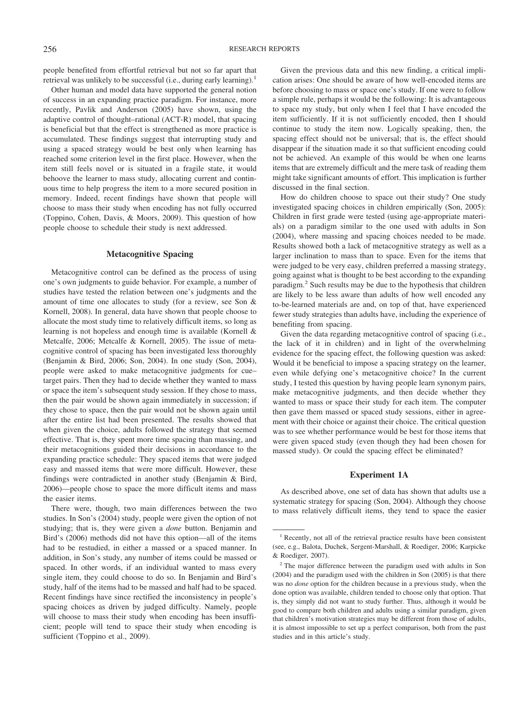people benefited from effortful retrieval but not so far apart that retrieval was unlikely to be successful (i.e., during early learning).<sup>1</sup>

Other human and model data have supported the general notion of success in an expanding practice paradigm. For instance, more recently, Pavlik and Anderson (2005) have shown, using the adaptive control of thought–rational (ACT-R) model, that spacing is beneficial but that the effect is strengthened as more practice is accumulated. These findings suggest that interrupting study and using a spaced strategy would be best only when learning has reached some criterion level in the first place. However, when the item still feels novel or is situated in a fragile state, it would behoove the learner to mass study, allocating current and continuous time to help progress the item to a more secured position in memory. Indeed, recent findings have shown that people will choose to mass their study when encoding has not fully occurred (Toppino, Cohen, Davis, & Moors, 2009). This question of how people choose to schedule their study is next addressed.

# **Metacognitive Spacing**

Metacognitive control can be defined as the process of using one's own judgments to guide behavior. For example, a number of studies have tested the relation between one's judgments and the amount of time one allocates to study (for a review, see Son & Kornell, 2008). In general, data have shown that people choose to allocate the most study time to relatively difficult items, so long as learning is not hopeless and enough time is available (Kornell & Metcalfe, 2006; Metcalfe & Kornell, 2005). The issue of metacognitive control of spacing has been investigated less thoroughly (Benjamin & Bird, 2006; Son, 2004). In one study (Son, 2004), people were asked to make metacognitive judgments for cue– target pairs. Then they had to decide whether they wanted to mass or space the item's subsequent study session. If they chose to mass, then the pair would be shown again immediately in succession; if they chose to space, then the pair would not be shown again until after the entire list had been presented. The results showed that when given the choice, adults followed the strategy that seemed effective. That is, they spent more time spacing than massing, and their metacognitions guided their decisions in accordance to the expanding practice schedule: They spaced items that were judged easy and massed items that were more difficult. However, these findings were contradicted in another study (Benjamin & Bird, 2006)—people chose to space the more difficult items and mass the easier items.

There were, though, two main differences between the two studies. In Son's (2004) study, people were given the option of not studying; that is, they were given a *done* button. Benjamin and Bird's (2006) methods did not have this option—all of the items had to be restudied, in either a massed or a spaced manner. In addition, in Son's study, any number of items could be massed or spaced. In other words, if an individual wanted to mass every single item, they could choose to do so. In Benjamin and Bird's study, half of the items had to be massed and half had to be spaced. Recent findings have since rectified the inconsistency in people's spacing choices as driven by judged difficulty. Namely, people will choose to mass their study when encoding has been insufficient; people will tend to space their study when encoding is sufficient (Toppino et al., 2009).

Given the previous data and this new finding, a critical implication arises: One should be aware of how well-encoded items are before choosing to mass or space one's study. If one were to follow a simple rule, perhaps it would be the following: It is advantageous to space my study, but only when I feel that I have encoded the item sufficiently. If it is not sufficiently encoded, then I should continue to study the item now. Logically speaking, then, the spacing effect should not be universal; that is, the effect should disappear if the situation made it so that sufficient encoding could not be achieved. An example of this would be when one learns items that are extremely difficult and the mere task of reading them might take significant amounts of effort. This implication is further discussed in the final section.

How do children choose to space out their study? One study investigated spacing choices in children empirically (Son, 2005): Children in first grade were tested (using age-appropriate materials) on a paradigm similar to the one used with adults in Son (2004), where massing and spacing choices needed to be made. Results showed both a lack of metacognitive strategy as well as a larger inclination to mass than to space. Even for the items that were judged to be very easy, children preferred a massing strategy, going against what is thought to be best according to the expanding paradigm.2 Such results may be due to the hypothesis that children are likely to be less aware than adults of how well encoded any to-be-learned materials are and, on top of that, have experienced fewer study strategies than adults have, including the experience of benefiting from spacing.

Given the data regarding metacognitive control of spacing (i.e., the lack of it in children) and in light of the overwhelming evidence for the spacing effect, the following question was asked: Would it be beneficial to impose a spacing strategy on the learner, even while defying one's metacognitive choice? In the current study, I tested this question by having people learn synonym pairs, make metacognitive judgments, and then decide whether they wanted to mass or space their study for each item. The computer then gave them massed or spaced study sessions, either in agreement with their choice or against their choice. The critical question was to see whether performance would be best for those items that were given spaced study (even though they had been chosen for massed study). Or could the spacing effect be eliminated?

## **Experiment 1A**

As described above, one set of data has shown that adults use a systematic strategy for spacing (Son, 2004). Although they choose to mass relatively difficult items, they tend to space the easier

<sup>&</sup>lt;sup>1</sup> Recently, not all of the retrieval practice results have been consistent (see, e.g., Balota, Duchek, Sergent-Marshall, & Roediger, 2006; Karpicke & Roediger, 2007).

<sup>2</sup> The major difference between the paradigm used with adults in Son (2004) and the paradigm used with the children in Son (2005) is that there was no *done* option for the children because in a previous study, when the done option was available, children tended to choose only that option. That is, they simply did not want to study further. Thus, although it would be good to compare both children and adults using a similar paradigm, given that children's motivation strategies may be different from those of adults, it is almost impossible to set up a perfect comparison, both from the past studies and in this article's study.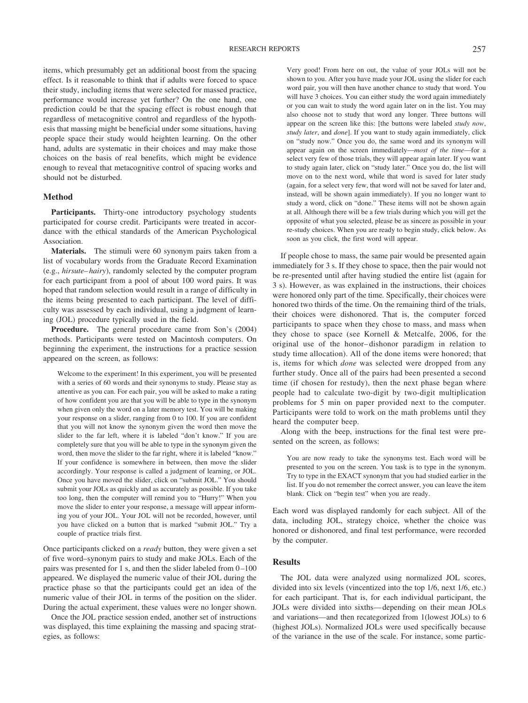items, which presumably get an additional boost from the spacing effect. Is it reasonable to think that if adults were forced to space their study, including items that were selected for massed practice, performance would increase yet further? On the one hand, one prediction could be that the spacing effect is robust enough that regardless of metacognitive control and regardless of the hypothesis that massing might be beneficial under some situations, having people space their study would heighten learning. On the other hand, adults are systematic in their choices and may make those choices on the basis of real benefits, which might be evidence enough to reveal that metacognitive control of spacing works and should not be disturbed.

# **Method**

Participants. Thirty-one introductory psychology students participated for course credit. Participants were treated in accordance with the ethical standards of the American Psychological Association.

**Materials.** The stimuli were 60 synonym pairs taken from a list of vocabulary words from the Graduate Record Examination (e.g., *hirsute– hairy*), randomly selected by the computer program for each participant from a pool of about 100 word pairs. It was hoped that random selection would result in a range of difficulty in the items being presented to each participant. The level of difficulty was assessed by each individual, using a judgment of learning (JOL) procedure typically used in the field.

**Procedure.** The general procedure came from Son's (2004) methods. Participants were tested on Macintosh computers. On beginning the experiment, the instructions for a practice session appeared on the screen, as follows:

Welcome to the experiment! In this experiment, you will be presented with a series of 60 words and their synonyms to study. Please stay as attentive as you can. For each pair, you will be asked to make a rating of how confident you are that you will be able to type in the synonym when given only the word on a later memory test. You will be making your response on a slider, ranging from 0 to 100. If you are confident that you will not know the synonym given the word then move the slider to the far left, where it is labeled "don't know." If you are completely sure that you will be able to type in the synonym given the word, then move the slider to the far right, where it is labeled "know." If your confidence is somewhere in between, then move the slider accordingly. Your response is called a judgment of learning, or JOL. Once you have moved the slider, click on "submit JOL." You should submit your JOLs as quickly and as accurately as possible. If you take too long, then the computer will remind you to "Hurry!" When you move the slider to enter your response, a message will appear informing you of your JOL. Your JOL will not be recorded, however, until you have clicked on a button that is marked "submit JOL." Try a couple of practice trials first.

Once participants clicked on a *ready* button, they were given a set of five word–synonym pairs to study and make JOLs. Each of the pairs was presented for 1 s, and then the slider labeled from  $0-100$ appeared. We displayed the numeric value of their JOL during the practice phase so that the participants could get an idea of the numeric value of their JOL in terms of the position on the slider. During the actual experiment, these values were no longer shown.

Once the JOL practice session ended, another set of instructions was displayed, this time explaining the massing and spacing strategies, as follows:

Very good! From here on out, the value of your JOLs will not be shown to you. After you have made your JOL using the slider for each word pair, you will then have another chance to study that word. You will have 3 choices. You can either study the word again immediately or you can wait to study the word again later on in the list. You may also choose not to study that word any longer. Three buttons will appear on the screen like this: [the buttons were labeled *study now*, *study later*, and *done*]. If you want to study again immediately, click on "study now." Once you do, the same word and its synonym will appear again on the screen immediately—*most of the time*—for a select very few of those trials, they will appear again later. If you want to study again later, click on "study later." Once you do, the list will move on to the next word, while that word is saved for later study (again, for a select very few, that word will not be saved for later and, instead, will be shown again immediately). If you no longer want to study a word, click on "done." These items will not be shown again at all. Although there will be a few trials during which you will get the opposite of what you selected, please be as sincere as possible in your re-study choices. When you are ready to begin study, click below. As soon as you click, the first word will appear.

If people chose to mass, the same pair would be presented again immediately for 3 s. If they chose to space, then the pair would not be re-presented until after having studied the entire list (again for 3 s). However, as was explained in the instructions, their choices were honored only part of the time*.* Specifically, their choices were honored two thirds of the time. On the remaining third of the trials, their choices were dishonored. That is, the computer forced participants to space when they chose to mass, and mass when they chose to space (see Kornell & Metcalfe, 2006, for the original use of the honor– dishonor paradigm in relation to study time allocation). All of the done items were honored; that is, items for which *done* was selected were dropped from any further study. Once all of the pairs had been presented a second time (if chosen for restudy), then the next phase began where people had to calculate two-digit by two-digit multiplication problems for 5 min on paper provided next to the computer. Participants were told to work on the math problems until they heard the computer beep.

Along with the beep, instructions for the final test were presented on the screen, as follows:

You are now ready to take the synonyms test. Each word will be presented to you on the screen. You task is to type in the synonym. Try to type in the EXACT synonym that you had studied earlier in the list. If you do not remember the correct answer, you can leave the item blank. Click on "begin test" when you are ready.

Each word was displayed randomly for each subject. All of the data, including JOL, strategy choice, whether the choice was honored or dishonored, and final test performance, were recorded by the computer.

# **Results**

The JOL data were analyzed using normalized JOL scores, divided into six levels (vincentized into the top 1/6, next 1/6, etc.) for each participant. That is, for each individual participant, the JOLs were divided into sixths— depending on their mean JOLs and variations—and then recategorized from 1(lowest JOLs) to 6 (highest JOLs). Normalized JOLs were used specifically because of the variance in the use of the scale. For instance, some partic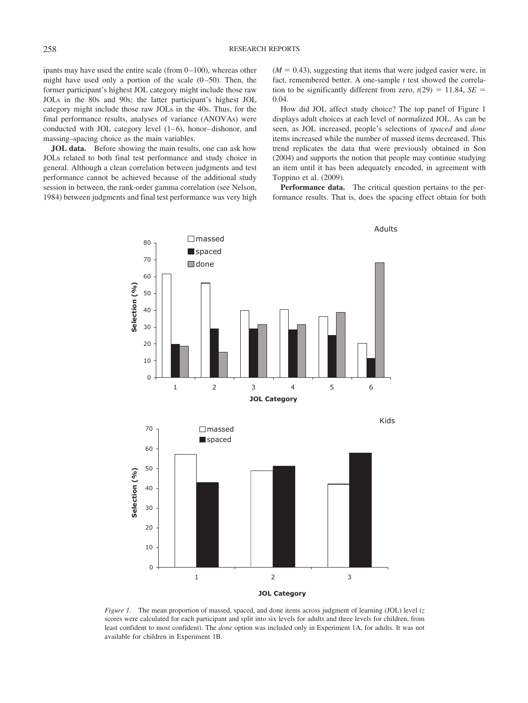ipants may have used the entire scale (from  $0-100$ ), whereas other might have used only a portion of the scale  $(0-50)$ . Then, the former participant's highest JOL category might include those raw JOLs in the 80s and 90s; the latter participant's highest JOL category might include those raw JOLs in the 40s. Thus, for the final performance results, analyses of variance (ANOVAs) were conducted with JOL category level  $(1-6)$ , honor-dishonor, and massing–spacing choice as the main variables.

**JOL data.** Before showing the main results, one can ask how JOLs related to both final test performance and study choice in general. Although a clean correlation between judgments and test performance cannot be achieved because of the additional study session in between, the rank-order gamma correlation (see Nelson, 1984) between judgments and final test performance was very high  $(M = 0.43)$ , suggesting that items that were judged easier were, in fact, remembered better. A one-sample *t* test showed the correlation to be significantly different from zero,  $t(29) = 11.84$ ,  $SE =$ 0.04.

How did JOL affect study choice? The top panel of Figure 1 displays adult choices at each level of normalized JOL. As can be seen, as JOL increased, people's selections of *spaced* and *done* items increased while the number of massed items decreased. This trend replicates the data that were previously obtained in Son (2004) and supports the notion that people may continue studying an item until it has been adequately encoded, in agreement with Toppino et al. (2009).

**Performance data.** The critical question pertains to the performance results. That is, does the spacing effect obtain for both



*Figure 1.* The mean proportion of massed, spaced, and done items across judgment of learning (JOL) level (*z* scores were calculated for each participant and split into six levels for adults and three levels for children, from least confident to most confident). The *done* option was included only in Experiment 1A, for adults. It was not available for children in Experiment 1B.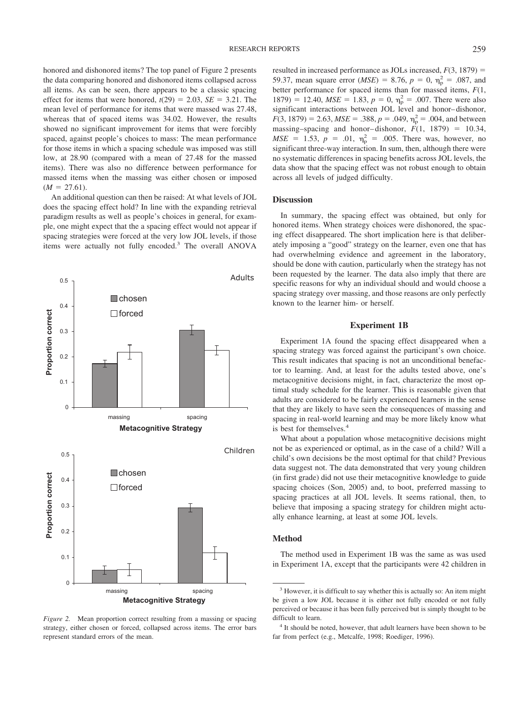honored and dishonored items? The top panel of Figure 2 presents the data comparing honored and dishonored items collapsed across all items. As can be seen, there appears to be a classic spacing effect for items that were honored,  $t(29) = 2.03$ ,  $SE = 3.21$ . The mean level of performance for items that were massed was 27.48, whereas that of spaced items was 34.02. However, the results showed no significant improvement for items that were forcibly spaced, against people's choices to mass: The mean performance for those items in which a spacing schedule was imposed was still low, at 28.90 (compared with a mean of 27.48 for the massed items). There was also no difference between performance for massed items when the massing was either chosen or imposed  $(M = 27.61)$ .

An additional question can then be raised: At what levels of JOL does the spacing effect hold? In line with the expanding retrieval paradigm results as well as people's choices in general, for example, one might expect that the a spacing effect would not appear if spacing strategies were forced at the very low JOL levels, if those items were actually not fully encoded.<sup>3</sup> The overall ANOVA



*Figure 2.* Mean proportion correct resulting from a massing or spacing strategy, either chosen or forced, collapsed across items. The error bars represent standard errors of the mean.

resulted in increased performance as JOLs increased, *F*(3, 1879) 59.37, mean square error (*MSE*) = 8.76,  $p = 0$ ,  $\eta_p^2 = .087$ , and better performance for spaced items than for massed items, *F*(1,  $1879$  = 12.40,  $MSE = 1.83$ ,  $p = 0$ ,  $\eta_p^2 = .007$ . There were also significant interactions between JOL level and honor– dishonor,  $F(3, 1879) = 2.63, MSE = .388, p = .049, \eta_p^2 = .004, \text{ and between}$ massing–spacing and honor–dishonor,  $F(1, 1879) = 10.34$ ,  $MSE = 1.53$ ,  $p = .01$ ,  $\eta_p^2 = .005$ . There was, however, no significant three-way interaction. In sum, then, although there were no systematic differences in spacing benefits across JOL levels, the data show that the spacing effect was not robust enough to obtain across all levels of judged difficulty.

# **Discussion**

In summary, the spacing effect was obtained, but only for honored items. When strategy choices were dishonored, the spacing effect disappeared. The short implication here is that deliberately imposing a "good" strategy on the learner, even one that has had overwhelming evidence and agreement in the laboratory, should be done with caution, particularly when the strategy has not been requested by the learner. The data also imply that there are specific reasons for why an individual should and would choose a spacing strategy over massing, and those reasons are only perfectly known to the learner him- or herself.

#### **Experiment 1B**

Experiment 1A found the spacing effect disappeared when a spacing strategy was forced against the participant's own choice. This result indicates that spacing is not an unconditional benefactor to learning. And, at least for the adults tested above, one's metacognitive decisions might, in fact, characterize the most optimal study schedule for the learner. This is reasonable given that adults are considered to be fairly experienced learners in the sense that they are likely to have seen the consequences of massing and spacing in real-world learning and may be more likely know what is best for themselves.<sup>4</sup>

What about a population whose metacognitive decisions might not be as experienced or optimal, as in the case of a child? Will a child's own decisions be the most optimal for that child? Previous data suggest not. The data demonstrated that very young children (in first grade) did not use their metacognitive knowledge to guide spacing choices (Son, 2005) and, to boot, preferred massing to spacing practices at all JOL levels. It seems rational, then, to believe that imposing a spacing strategy for children might actually enhance learning, at least at some JOL levels.

#### **Method**

The method used in Experiment 1B was the same as was used in Experiment 1A, except that the participants were 42 children in

 $3$  However, it is difficult to say whether this is actually so: An item might be given a low JOL because it is either not fully encoded or not fully perceived or because it has been fully perceived but is simply thought to be difficult to learn.

<sup>&</sup>lt;sup>4</sup> It should be noted, however, that adult learners have been shown to be far from perfect (e.g., Metcalfe, 1998; Roediger, 1996).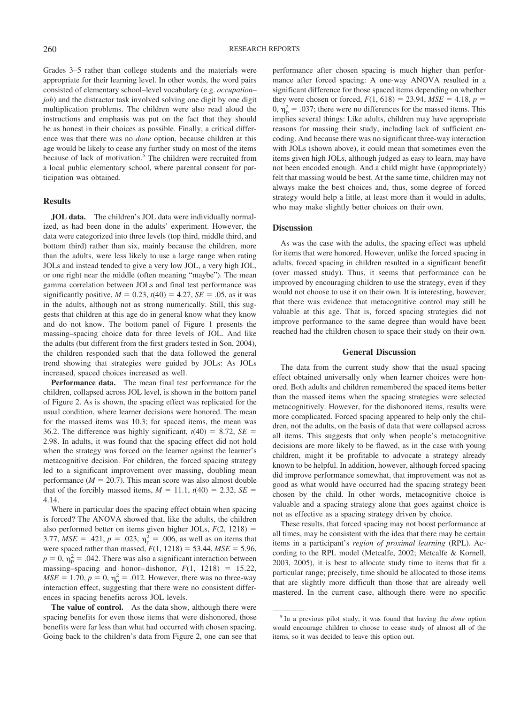Grades 3–5 rather than college students and the materials were appropriate for their learning level. In other words, the word pairs consisted of elementary school–level vocabulary (e.g. *occupation*– *job*) and the distractor task involved solving one digit by one digit multiplication problems. The children were also read aloud the instructions and emphasis was put on the fact that they should be as honest in their choices as possible. Finally, a critical difference was that there was no *done* option, because children at this age would be likely to cease any further study on most of the items because of lack of motivation.<sup>5</sup> The children were recruited from a local public elementary school, where parental consent for participation was obtained.

# **Results**

**JOL data.** The children's JOL data were individually normalized, as had been done in the adults' experiment. However, the data were categorized into three levels (top third, middle third, and bottom third) rather than six, mainly because the children, more than the adults, were less likely to use a large range when rating JOLs and instead tended to give a very low JOL, a very high JOL, or one right near the middle (often meaning "maybe"). The mean gamma correlation between JOLs and final test performance was significantly positive,  $M = 0.23$ ,  $t(40) = 4.27$ ,  $SE = .05$ , as it was in the adults, although not as strong numerically. Still, this suggests that children at this age do in general know what they know and do not know. The bottom panel of Figure 1 presents the massing–spacing choice data for three levels of JOL. And like the adults (but different from the first graders tested in Son, 2004), the children responded such that the data followed the general trend showing that strategies were guided by JOLs: As JOLs increased, spaced choices increased as well.

**Performance data.** The mean final test performance for the children, collapsed across JOL level, is shown in the bottom panel of Figure 2. As is shown, the spacing effect was replicated for the usual condition, where learner decisions were honored. The mean for the massed items was 10.3; for spaced items, the mean was 36.2. The difference was highly significant,  $t(40) = 8.72$ ,  $SE =$ 2.98. In adults, it was found that the spacing effect did not hold when the strategy was forced on the learner against the learner's metacognitive decision. For children, the forced spacing strategy led to a significant improvement over massing, doubling mean performance  $(M = 20.7)$ . This mean score was also almost double that of the forcibly massed items,  $M = 11.1$ ,  $t(40) = 2.32$ ,  $SE =$ 4.14.

Where in particular does the spacing effect obtain when spacing is forced? The ANOVA showed that, like the adults, the children also performed better on items given higher JOLs, *F*(2, 1218) 3.77,  $MSE = .421$ ,  $p = .023$ ,  $\eta_p^2 = .006$ , as well as on items that were spaced rather than massed,  $F(1, 1218) = 53.44$ ,  $MSE = 5.96$ ,  $p = 0$ ,  $\eta_p^2 = .042$ . There was also a significant interaction between massing–spacing and honor–dishonor,  $F(1, 1218) = 15.22$ ,  $MSE = 1.70, p = 0, \eta_p^2 = .012$ . However, there was no three-way interaction effect, suggesting that there were no consistent differences in spacing benefits across JOL levels.

The value of control. As the data show, although there were spacing benefits for even those items that were dishonored, those benefits were far less than what had occurred with chosen spacing. Going back to the children's data from Figure 2, one can see that performance after chosen spacing is much higher than performance after forced spacing: A one-way ANOVA resulted in a significant difference for those spaced items depending on whether they were chosen or forced,  $F(1, 618) = 23.94$ ,  $MSE = 4.18$ ,  $p =$ 0,  $\eta_p^2$  = .037; there were no differences for the massed items. This implies several things: Like adults, children may have appropriate reasons for massing their study, including lack of sufficient encoding. And because there was no significant three-way interaction with JOLs (shown above), it could mean that sometimes even the items given high JOLs, although judged as easy to learn, may have not been encoded enough. And a child might have (appropriately) felt that massing would be best. At the same time, children may not always make the best choices and, thus, some degree of forced strategy would help a little, at least more than it would in adults, who may make slightly better choices on their own.

# **Discussion**

As was the case with the adults, the spacing effect was upheld for items that were honored. However, unlike the forced spacing in adults, forced spacing in children resulted in a significant benefit (over massed study). Thus, it seems that performance can be improved by encouraging children to use the strategy, even if they would not choose to use it on their own. It is interesting, however, that there was evidence that metacognitive control may still be valuable at this age. That is, forced spacing strategies did not improve performance to the same degree than would have been reached had the children chosen to space their study on their own.

## **General Discussion**

The data from the current study show that the usual spacing effect obtained universally only when learner choices were honored. Both adults and children remembered the spaced items better than the massed items when the spacing strategies were selected metacognitively. However, for the dishonored items, results were more complicated. Forced spacing appeared to help only the children, not the adults, on the basis of data that were collapsed across all items. This suggests that only when people's metacognitive decisions are more likely to be flawed, as in the case with young children, might it be profitable to advocate a strategy already known to be helpful. In addition, however, although forced spacing did improve performance somewhat, that improvement was not as good as what would have occurred had the spacing strategy been chosen by the child. In other words, metacognitive choice is valuable and a spacing strategy alone that goes against choice is not as effective as a spacing strategy driven by choice.

These results, that forced spacing may not boost performance at all times, may be consistent with the idea that there may be certain items in a participant's *region of proximal learning* (RPL). According to the RPL model (Metcalfe, 2002; Metcalfe & Kornell, 2003, 2005), it is best to allocate study time to items that fit a particular range; precisely, time should be allocated to those items that are slightly more difficult than those that are already well mastered. In the current case, although there were no specific

<sup>5</sup> In a previous pilot study, it was found that having the *done* option would encourage children to choose to cease study of almost all of the items, so it was decided to leave this option out.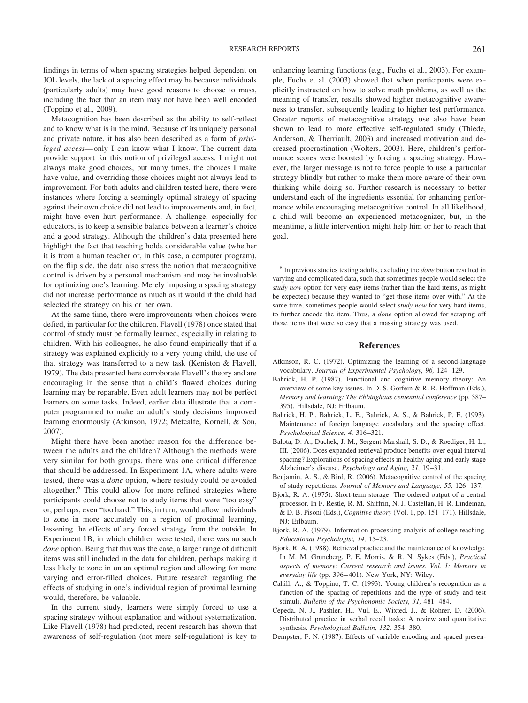findings in terms of when spacing strategies helped dependent on JOL levels, the lack of a spacing effect may be because individuals (particularly adults) may have good reasons to choose to mass, including the fact that an item may not have been well encoded (Toppino et al., 2009).

Metacognition has been described as the ability to self-reflect and to know what is in the mind. Because of its uniquely personal and private nature, it has also been described as a form of *privileged access*— only I can know what I know. The current data provide support for this notion of privileged access: I might not always make good choices, but many times, the choices I make have value, and overriding those choices might not always lead to improvement. For both adults and children tested here, there were instances where forcing a seemingly optimal strategy of spacing against their own choice did not lead to improvements and, in fact, might have even hurt performance. A challenge, especially for educators, is to keep a sensible balance between a learner's choice and a good strategy. Although the children's data presented here highlight the fact that teaching holds considerable value (whether it is from a human teacher or, in this case, a computer program), on the flip side, the data also stress the notion that metacognitive control is driven by a personal mechanism and may be invaluable for optimizing one's learning. Merely imposing a spacing strategy did not increase performance as much as it would if the child had selected the strategy on his or her own.

At the same time, there were improvements when choices were defied, in particular for the children. Flavell (1978) once stated that control of study must be formally learned, especially in relating to children. With his colleagues, he also found empirically that if a strategy was explained explicitly to a very young child, the use of that strategy was transferred to a new task (Keniston & Flavell, 1979). The data presented here corroborate Flavell's theory and are encouraging in the sense that a child's flawed choices during learning may be reparable. Even adult learners may not be perfect learners on some tasks. Indeed, earlier data illustrate that a computer programmed to make an adult's study decisions improved learning enormously (Atkinson, 1972; Metcalfe, Kornell, & Son, 2007).

Might there have been another reason for the difference between the adults and the children? Although the methods were very similar for both groups, there was one critical difference that should be addressed. In Experiment 1A, where adults were tested, there was a *done* option, where restudy could be avoided altogether.<sup>6</sup> This could allow for more refined strategies where participants could choose not to study items that were "too easy" or, perhaps, even "too hard." This, in turn, would allow individuals to zone in more accurately on a region of proximal learning, lessening the effects of any forced strategy from the outside. In Experiment 1B, in which children were tested, there was no such *done* option. Being that this was the case, a larger range of difficult items was still included in the data for children, perhaps making it less likely to zone in on an optimal region and allowing for more varying and error-filled choices. Future research regarding the effects of studying in one's individual region of proximal learning would, therefore, be valuable.

In the current study, learners were simply forced to use a spacing strategy without explanation and without systematization. Like Flavell (1978) had predicted, recent research has shown that awareness of self-regulation (not mere self-regulation) is key to enhancing learning functions (e.g., Fuchs et al., 2003). For example, Fuchs et al. (2003) showed that when participants were explicitly instructed on how to solve math problems, as well as the meaning of transfer, results showed higher metacognitive awareness to transfer, subsequently leading to higher test performance. Greater reports of metacognitive strategy use also have been shown to lead to more effective self-regulated study (Thiede, Anderson, & Therriault, 2003) and increased motivation and decreased procrastination (Wolters, 2003). Here, children's performance scores were boosted by forcing a spacing strategy. However, the larger message is not to force people to use a particular strategy blindly but rather to make them more aware of their own thinking while doing so. Further research is necessary to better understand each of the ingredients essential for enhancing performance while encouraging metacognitive control. In all likelihood, a child will become an experienced metacognizer, but, in the meantime, a little intervention might help him or her to reach that goal.

<sup>6</sup> In previous studies testing adults, excluding the *done* button resulted in varying and complicated data, such that sometimes people would select the *study now* option for very easy items (rather than the hard items, as might be expected) because they wanted to "get those items over with." At the same time, sometimes people would select *study now* for very hard items, to further encode the item. Thus, a *done* option allowed for scraping off those items that were so easy that a massing strategy was used.

# **References**

- Atkinson, R. C. (1972). Optimizing the learning of a second-language vocabulary. *Journal of Experimental Psychology, 96,* 124 –129.
- Bahrick, H. P. (1987). Functional and cognitive memory theory: An overview of some key issues. In D. S. Gorfein & R. R. Hoffman (Eds.), *Memory and learning: The Ebbinghaus centennial conference* (pp. 387– 395). Hillsdale, NJ: Erlbaum.
- Bahrick, H. P., Bahrick, L. E., Bahrick, A. S., & Bahrick, P. E. (1993). Maintenance of foreign language vocabulary and the spacing effect. *Psychological Science, 4,* 316 –321.
- Balota, D. A., Duchek, J. M., Sergent-Marshall, S. D., & Roediger, H. L., III. (2006). Does expanded retrieval produce benefits over equal interval spacing? Explorations of spacing effects in healthy aging and early stage Alzheimer's disease. *Psychology and Aging, 21,* 19 –31.
- Benjamin, A. S., & Bird, R. (2006). Metacognitive control of the spacing of study repetitions. *Journal of Memory and Language, 55,* 126 –137.
- Bjork, R. A. (1975). Short-term storage: The ordered output of a central processor. In F. Restle, R. M. Shiffrin, N. J. Castellan, H. R. Lindeman, & D. B. Pisoni (Eds.), *Cognitive theory* (Vol. 1, pp. 151–171). Hillsdale, NJ: Erlbaum.
- Bjork, R. A. (1979). Information-processing analysis of college teaching. *Educational Psychologist, 14,* 15–23.
- Bjork, R. A. (1988). Retrieval practice and the maintenance of knowledge. In M. M. Gruneberg, P. E. Morris, & R. N. Sykes (Eds.), *Practical aspects of memory: Current research and issues. Vol. 1: Memory in everyday life* (pp. 396 – 401)*.* New York, NY: Wiley.
- Cahill, A., & Toppino, T. C. (1993). Young children's recognition as a function of the spacing of repetitions and the type of study and test stimuli. *Bulletin of the Psychonomic Society, 31, 481-484.*
- Cepeda, N. J., Pashler, H., Vul, E., Wixted, J., & Rohrer, D. (2006). Distributed practice in verbal recall tasks: A review and quantitative synthesis. *Psychological Bulletin, 132,* 354 –380.
- Dempster, F. N. (1987). Effects of variable encoding and spaced presen-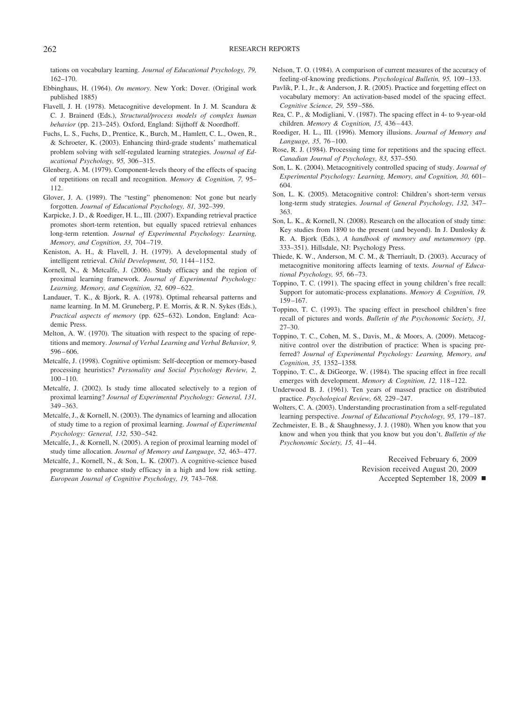tations on vocabulary learning. *Journal of Educational Psychology, 79,* 162–170.

- Ebbinghaus, H. (1964). *On memory.* New York: Dover. (Original work published 1885)
- Flavell, J. H. (1978). Metacognitive development. In J. M. Scandura & C. J. Brainerd (Eds.), *Structural/process models of complex human behavior* (pp. 213–245). Oxford, England: Sijthoff & Noordhoff.
- Fuchs, L. S., Fuchs, D., Prentice, K., Burch, M., Hamlett, C. L., Owen, R., & Schroeter, K. (2003). Enhancing third-grade students' mathematical problem solving with self-regulated learning strategies. *Journal of Educational Psychology, 95,* 306 –315.
- Glenberg, A. M. (1979). Component-levels theory of the effects of spacing of repetitions on recall and recognition. *Memory & Cognition, 7,* 95– 112.
- Glover, J. A. (1989). The "testing" phenomenon: Not gone but nearly forgotten. *Journal of Educational Psychology, 81,* 392–399.
- Karpicke, J. D., & Roediger, H. L., III. (2007). Expanding retrieval practice promotes short-term retention, but equally spaced retrieval enhances long-term retention. *Journal of Experimental Psychology: Learning, Memory, and Cognition, 33,* 704 –719.
- Keniston, A. H., & Flavell, J. H. (1979). A developmental study of intelligent retrieval. *Child Development, 50,* 1144 –1152.
- Kornell, N., & Metcalfe, J. (2006). Study efficacy and the region of proximal learning framework. *Journal of Experimental Psychology: Learning, Memory, and Cognition, 32,* 609 – 622.
- Landauer, T. K., & Bjork, R. A. (1978). Optimal rehearsal patterns and name learning. In M. M. Gruneberg, P. E. Morris, & R. N. Sykes (Eds.), *Practical aspects of memory* (pp. 625– 632). London, England: Academic Press.
- Melton, A. W. (1970). The situation with respect to the spacing of repetitions and memory. *Journal of Verbal Learning and Verbal Behavior, 9,* 596 – 606.
- Metcalfe, J. (1998). Cognitive optimism: Self-deception or memory-based processing heuristics? *Personality and Social Psychology Review, 2,*  $100 - 110$ .
- Metcalfe, J. (2002). Is study time allocated selectively to a region of proximal learning? *Journal of Experimental Psychology: General, 131,* 349 –363.
- Metcalfe, J., & Kornell, N. (2003). The dynamics of learning and allocation of study time to a region of proximal learning. *Journal of Experimental Psychology: General, 132,* 530 –542.
- Metcalfe, J., & Kornell, N. (2005). A region of proximal learning model of study time allocation. *Journal of Memory and Language, 52,* 463– 477.
- Metcalfe, J., Kornell, N., & Son, L. K. (2007). A cognitive-science based programme to enhance study efficacy in a high and low risk setting. *European Journal of Cognitive Psychology, 19,* 743–768.
- Nelson, T. O. (1984). A comparison of current measures of the accuracy of feeling-of-knowing predictions. *Psychological Bulletin, 95,* 109 –133.
- Pavlik, P. I., Jr., & Anderson, J. R. (2005). Practice and forgetting effect on vocabulary memory: An activation-based model of the spacing effect. *Cognitive Science, 29,* 559 –586.
- Rea, C. P., & Modigliani, V. (1987). The spacing effect in 4- to 9-year-old children. *Memory & Cognition, 15,* 436 – 443.
- Roediger, H. L., III. (1996). Memory illusions. *Journal of Memory and Language, 35,* 76 –100.
- Rose, R. J. (1984). Processing time for repetitions and the spacing effect. *Canadian Journal of Psychology, 83,* 537–550.
- Son, L. K. (2004). Metacognitively controlled spacing of study. *Journal of Experimental Psychology: Learning, Memory, and Cognition, 30,* 601– 604.
- Son, L. K. (2005). Metacognitive control: Children's short-term versus long-term study strategies. *Journal of General Psychology, 132,* 347– 363.
- Son, L. K., & Kornell, N. (2008). Research on the allocation of study time: Key studies from 1890 to the present (and beyond). In J. Dunlosky & R. A. Bjork (Eds.), *A handbook of memory and metamemory* (pp. 333–351). Hillsdale, NJ: Psychology Press.
- Thiede, K. W., Anderson, M. C. M., & Therriault, D. (2003). Accuracy of metacognitive monitoring affects learning of texts. *Journal of Educational Psychology, 95,* 66 –73.
- Toppino, T. C. (1991). The spacing effect in young children's free recall: Support for automatic-process explanations. *Memory & Cognition, 19,* 159 –167.
- Toppino, T. C. (1993). The spacing effect in preschool children's free recall of pictures and words. *Bulletin of the Psychonomic Society, 31,* 27–30.
- Toppino, T. C., Cohen, M. S., Davis, M., & Moors, A. (2009). Metacognitive control over the distribution of practice: When is spacing preferred? *Journal of Experimental Psychology: Learning, Memory, and Cognition, 35,* 1352–1358*.*
- Toppino, T. C., & DiGeorge, W. (1984). The spacing effect in free recall emerges with development. *Memory & Cognition, 12,* 118 –122.
- Underwood B. J. (1961). Ten years of massed practice on distributed practice. *Psychological Review, 68,* 229 –247.
- Wolters, C. A. (2003). Understanding procrastination from a self-regulated learning perspective. *Journal of Educational Psychology, 95,* 179 –187.
- Zechmeister, E. B., & Shaughnessy, J. J. (1980). When you know that you know and when you think that you know but you don't. *Bulletin of the Psychonomic Society, 15,* 41– 44.

Received February 6, 2009 Revision received August 20, 2009

Accepted September 18, 2009